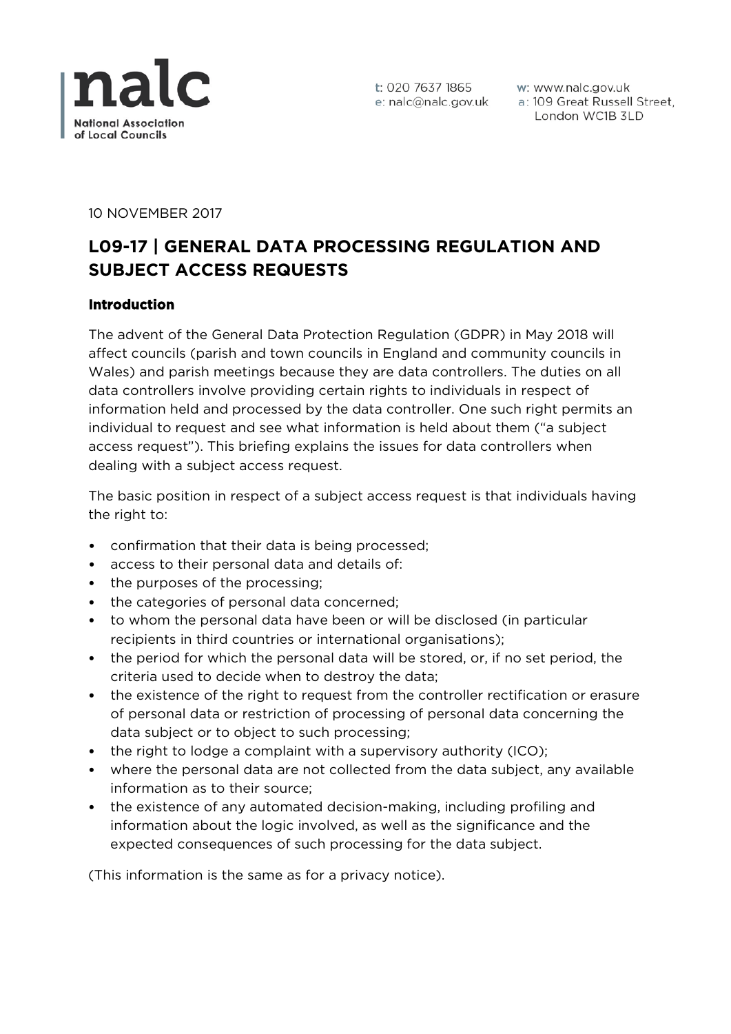

t: 020 7637 1865 e: nalc@nalc.gov.uk

w: www.nalc.gov.uk a: 109 Great Russell Street, London WC1B 3LD

10 NOVEMBER 2017

# **L09-17 | GENERAL DATA PROCESSING REGULATION AND SUBJECT ACCESS REQUESTS**

# **Introduction**

The advent of the General Data Protection Regulation (GDPR) in May 2018 will affect councils (parish and town councils in England and community councils in Wales) and parish meetings because they are data controllers. The duties on all data controllers involve providing certain rights to individuals in respect of information held and processed by the data controller. One such right permits an individual to request and see what information is held about them ("a subject access request"). This briefing explains the issues for data controllers when dealing with a subject access request.

The basic position in respect of a subject access request is that individuals having the right to:

- confirmation that their data is being processed;
- access to their personal data and details of:
- the purposes of the processing;
- the categories of personal data concerned;
- to whom the personal data have been or will be disclosed (in particular recipients in third countries or international organisations);
- the period for which the personal data will be stored, or, if no set period, the criteria used to decide when to destroy the data;
- the existence of the right to request from the controller rectification or erasure of personal data or restriction of processing of personal data concerning the data subject or to object to such processing;
- the right to lodge a complaint with a supervisory authority (ICO);
- where the personal data are not collected from the data subject, any available information as to their source;
- the existence of any automated decision-making, including profiling and information about the logic involved, as well as the significance and the expected consequences of such processing for the data subject.

(This information is the same as for a privacy notice).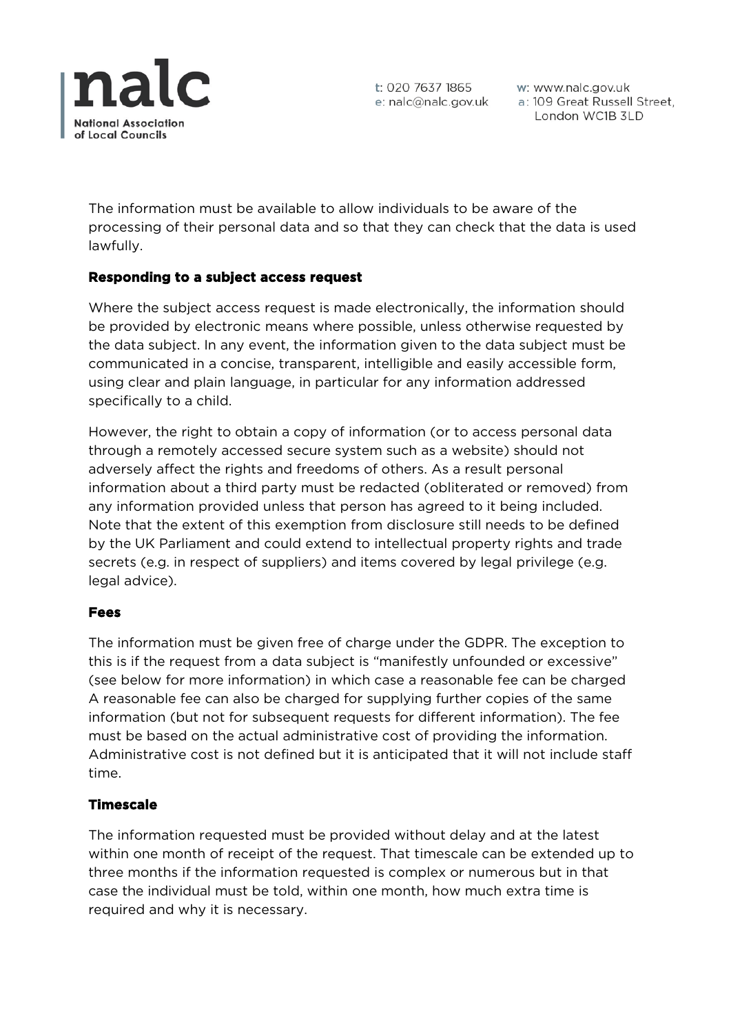

t: 020 7637 1865 e: nalc@nalc.gov.uk

w: www.nalc.gov.uk a: 109 Great Russell Street, London WC1B 3LD

The information must be available to allow individuals to be aware of the processing of their personal data and so that they can check that the data is used lawfully.

## **Responding to a subject access request**

Where the subject access request is made electronically, the information should be provided by electronic means where possible, unless otherwise requested by the data subject. In any event, the information given to the data subject must be communicated in a concise, transparent, intelligible and easily accessible form, using clear and plain language, in particular for any information addressed specifically to a child.

However, the right to obtain a copy of information (or to access personal data through a remotely accessed secure system such as a website) should not adversely affect the rights and freedoms of others. As a result personal information about a third party must be redacted (obliterated or removed) from any information provided unless that person has agreed to it being included. Note that the extent of this exemption from disclosure still needs to be defined by the UK Parliament and could extend to intellectual property rights and trade secrets (e.g. in respect of suppliers) and items covered by legal privilege (e.g. legal advice).

# **Fees**

The information must be given free of charge under the GDPR. The exception to this is if the request from a data subject is "manifestly unfounded or excessive" (see below for more information) in which case a reasonable fee can be charged A reasonable fee can also be charged for supplying further copies of the same information (but not for subsequent requests for different information). The fee must be based on the actual administrative cost of providing the information. Administrative cost is not defined but it is anticipated that it will not include staff time.

#### **Timescale**

The information requested must be provided without delay and at the latest within one month of receipt of the request. That timescale can be extended up to three months if the information requested is complex or numerous but in that case the individual must be told, within one month, how much extra time is required and why it is necessary.